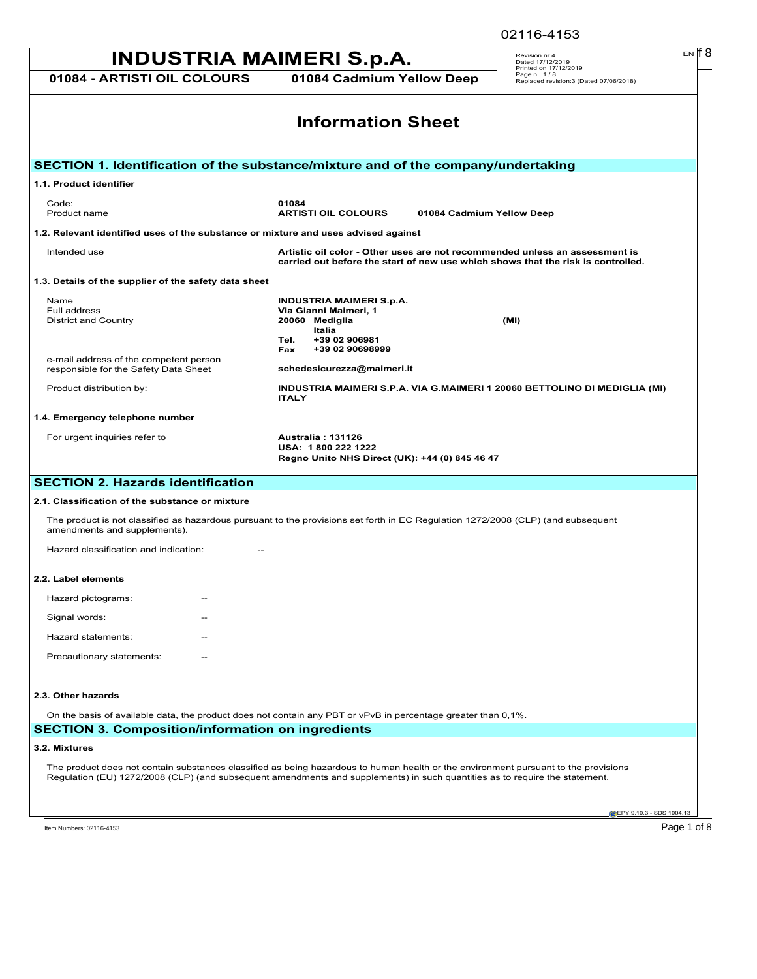02116-4153

## **INDUSTRIA MAIMERI S.p.A.** Revision m:4 EN 18 **01084 - ARTISTI OIL COLOURS 01084 Cadmium Yellow Deep** Revision nr.4 Dated 17/12/2019 Printed on 17/12/2019 Page n. 1 / 8 Replaced revision:3 (Dated 07/06/2018) EN **EPY 9.10.3 - SDS 1004.13 Information Sheet SECTION 1. Identification of the substance/mixture and of the company/undertaking 1.1. Product identifier** Code: **01084** Product name **ARTISTI OIL COLOURS 01084 Cadmium Yellow Deep 1.2. Relevant identified uses of the substance or mixture and uses advised against** Intended use **Artistic oil color - Other uses are not recommended unless an assessment is carried out before the start of new use which shows that the risk is controlled. 1.3. Details of the supplier of the safety data sheet** Name **INDUSTRIA MAIMERI S.p.A. Via Gianni Maimeri, 1<br>20060 Mediglia** District and Country **20060 Mediglia (MI) Italia Tel. +39 02 906981 Fax +39 02 90698999** e-mail address of the competent person responsible for the Safety Data Sheet **schedesicurezza@maimeri.it** Product distribution by: **INDUSTRIA MAIMERI S.P.A. VIA G.MAIMERI 1 20060 BETTOLINO DI MEDIGLIA (MI) ITALY 1.4. Emergency telephone number** For urgent inquiries refer to **Australia : 131126 USA: 1 800 222 1222 Regno Unito NHS Direct (UK): +44 (0) 845 46 47 SECTION 2. Hazards identification 2.1. Classification of the substance or mixture** The product is not classified as hazardous pursuant to the provisions set forth in EC Regulation 1272/2008 (CLP) (and subsequent amendments and supplements). Hazard classification and indication: **2.2. Label elements** Hazard pictograms: Signal words: Hazard statements: Precautionary statements: **2.3. Other hazards** On the basis of available data, the product does not contain any PBT or vPvB in percentage greater than 0,1%. **SECTION 3. Composition/information on ingredients 3.2. Mixtures** The product does not contain substances classified as being hazardous to human health or the environment pursuant to the provisions Regulation (EU) 1272/2008 (CLP) (and subsequent amendments and supplements) in such quantities as to require the statement. Item Numbers: 02116-4153 Page 1 of 8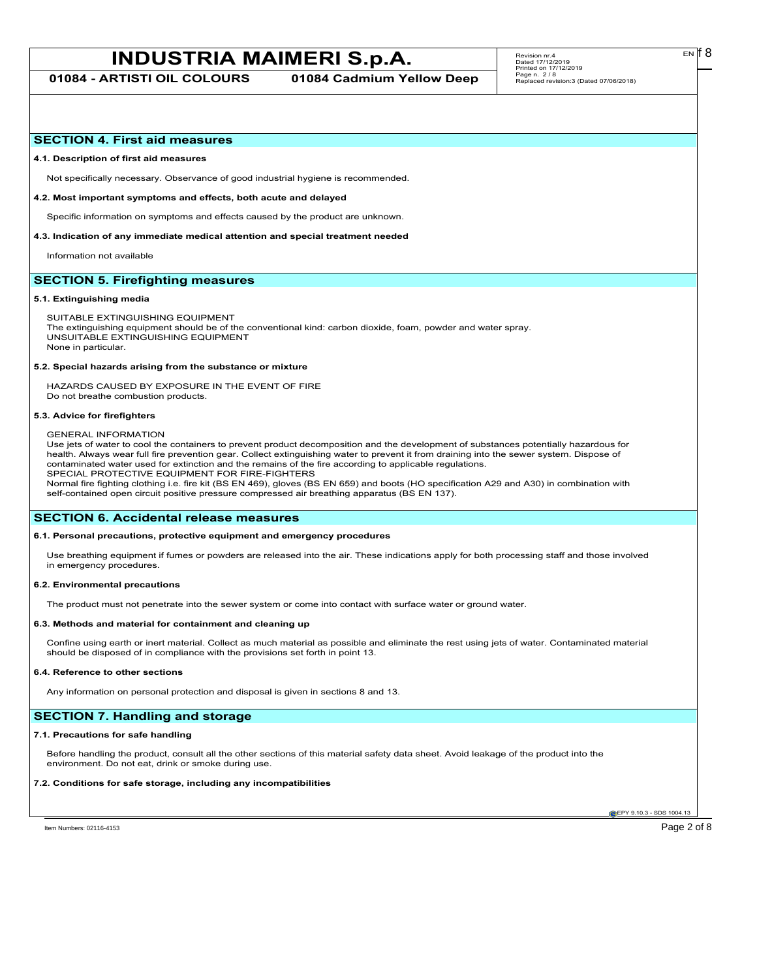# **INDUSTRIA MAIMERI S.p.A.** Revision m:4 EN **F** Revision metrics of B EN **F** B

**01084 - ARTISTI OIL COLOURS 01084 Cadmium Yellow Deep**

#### **SECTION 4. First aid measures**

#### **4.1. Description of first aid measures**

Not specifically necessary. Observance of good industrial hygiene is recommended.

#### **4.2. Most important symptoms and effects, both acute and delayed**

Specific information on symptoms and effects caused by the product are unknown.

#### **4.3. Indication of any immediate medical attention and special treatment needed**

Information not available

## **SECTION 5. Firefighting measures**

#### **5.1. Extinguishing media**

SUITABLE EXTINGUISHING EQUIPMENT The extinguishing equipment should be of the conventional kind: carbon dioxide, foam, powder and water spray. UNSUITABLE EXTINGUISHING EQUIPMENT None in particular.

#### **5.2. Special hazards arising from the substance or mixture**

HAZARDS CAUSED BY EXPOSURE IN THE EVENT OF FIRE Do not breathe combustion products.

#### **5.3. Advice for firefighters**

#### GENERAL INFORMATION

Use jets of water to cool the containers to prevent product decomposition and the development of substances potentially hazardous for health. Always wear full fire prevention gear. Collect extinguishing water to prevent it from draining into the sewer system. Dispose of contaminated water used for extinction and the remains of the fire according to applicable regulations. SPECIAL PROTECTIVE EQUIPMENT FOR FIRE-FIGHTERS

Normal fire fighting clothing i.e. fire kit (BS EN 469), gloves (BS EN 659) and boots (HO specification A29 and A30) in combination with self-contained open circuit positive pressure compressed air breathing apparatus (BS EN 137).

### **SECTION 6. Accidental release measures**

#### **6.1. Personal precautions, protective equipment and emergency procedures**

Use breathing equipment if fumes or powders are released into the air. These indications apply for both processing staff and those involved in emergency procedures.

#### **6.2. Environmental precautions**

The product must not penetrate into the sewer system or come into contact with surface water or ground water.

#### **6.3. Methods and material for containment and cleaning up**

Confine using earth or inert material. Collect as much material as possible and eliminate the rest using jets of water. Contaminated material should be disposed of in compliance with the provisions set forth in point 13.

#### **6.4. Reference to other sections**

Any information on personal protection and disposal is given in sections 8 and 13.

## **SECTION 7. Handling and storage**

#### **7.1. Precautions for safe handling**

Before handling the product, consult all the other sections of this material safety data sheet. Avoid leakage of the product into the environment. Do not eat, drink or smoke during use.

#### **7.2. Conditions for safe storage, including any incompatibilities**

**EPY 9.10.3 - SDS 1004.13** 

EN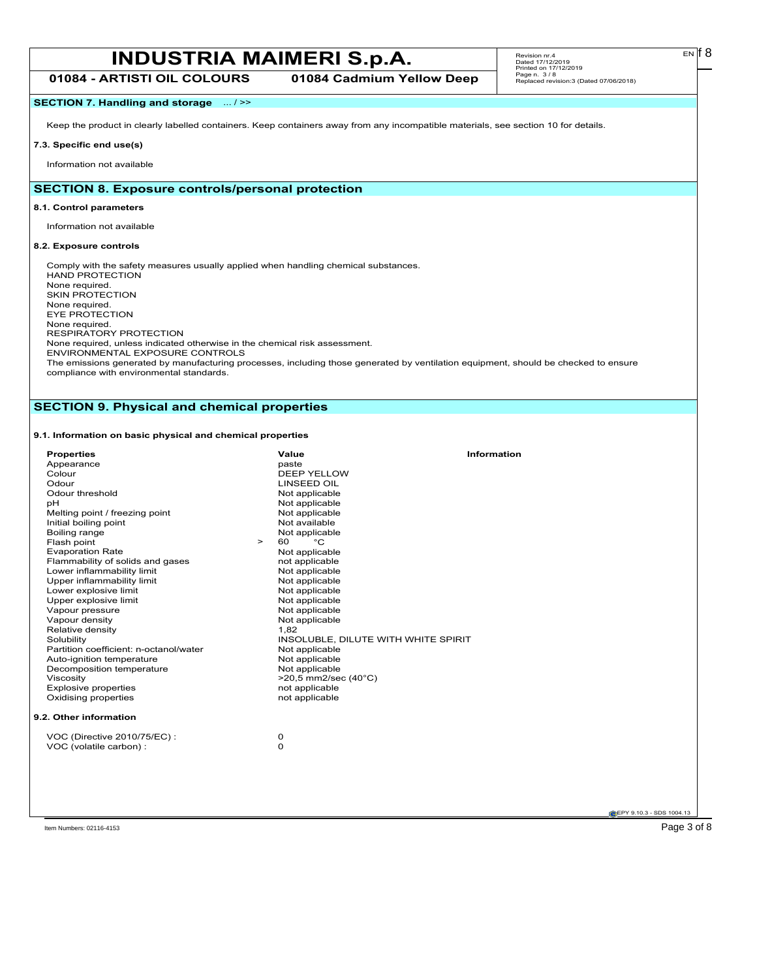# **INDUSTRIA MAIMERI S.p.A.** Revision m:4 EN **F** Revision metric or a predict of  $\mathbb{R}$  **EN F B**

**01084 - ARTISTI OIL COLOURS 01084 Cadmium Yellow Deep**

## **SECTION 7. Handling and storage** ... / >>

Keep the product in clearly labelled containers. Keep containers away from any incompatible materials, see section 10 for details.

## **7.3. Specific end use(s)**

Information not available

## **SECTION 8. Exposure controls/personal protection**

#### **8.1. Control parameters**

Information not available

### **8.2. Exposure controls**

Comply with the safety measures usually applied when handling chemical substances. HAND PROTECTION None required. SKIN PROTECTION None required. EYE PROTECTION None required. RESPIRATORY PROTECTION None required, unless indicated otherwise in the chemical risk assessment. ENVIRONMENTAL EXPOSURE CONTROLS The emissions generated by manufacturing processes, including those generated by ventilation equipment, should be checked to ensure

compliance with environmental standards.

## **SECTION 9. Physical and chemical properties**

## **9.1. Information on basic physical and chemical properties**

| <b>Properties</b>                      |        | Value                               | Information |
|----------------------------------------|--------|-------------------------------------|-------------|
| Appearance                             |        | paste                               |             |
| Colour                                 |        | DEEP YELLOW                         |             |
| Odour                                  |        | <b>LINSEED OIL</b>                  |             |
| Odour threshold                        |        | Not applicable                      |             |
| pH                                     |        | Not applicable                      |             |
| Melting point / freezing point         |        | Not applicable                      |             |
| Initial boiling point                  |        | Not available                       |             |
| Boiling range                          |        | Not applicable                      |             |
| Flash point                            | $\geq$ | °C<br>60                            |             |
| <b>Evaporation Rate</b>                |        | Not applicable                      |             |
| Flammability of solids and gases       |        | not applicable                      |             |
| Lower inflammability limit             |        | Not applicable                      |             |
| Upper inflammability limit             |        | Not applicable                      |             |
| Lower explosive limit                  |        | Not applicable                      |             |
| Upper explosive limit                  |        | Not applicable                      |             |
| Vapour pressure                        |        | Not applicable                      |             |
| Vapour density                         |        | Not applicable                      |             |
| Relative density                       |        | 1,82                                |             |
| Solubility                             |        | INSOLUBLE, DILUTE WITH WHITE SPIRIT |             |
| Partition coefficient: n-octanol/water |        | Not applicable                      |             |
| Auto-ignition temperature              |        | Not applicable                      |             |
| Decomposition temperature              |        | Not applicable                      |             |
| Viscosity                              |        | $>20,5$ mm2/sec (40 $^{\circ}$ C)   |             |
| <b>Explosive properties</b>            |        | not applicable                      |             |
| Oxidising properties                   |        | not applicable                      |             |
| 9.2. Other information                 |        |                                     |             |
| VOC (Directive 2010/75/EC):            |        | 0                                   |             |
| VOC (volatile carbon) :                |        | 0                                   |             |
|                                        |        |                                     |             |
|                                        |        |                                     |             |

 $E<sub>N</sub>$  18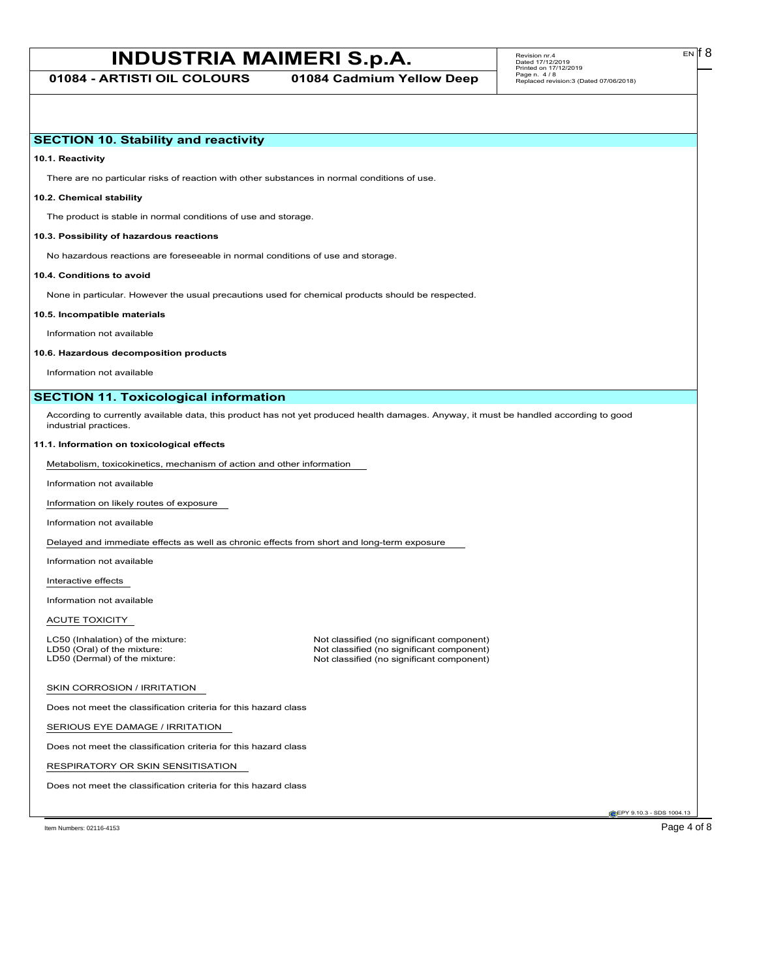# **INDUSTRIA MAIMERI S.p.A.** Revision m:4 **Data of 2** EN **18**

## **SECTION 10. Stability and reactivity**

**10.1. Reactivity**

There are no particular risks of reaction with other substances in normal conditions of use.

### **10.2. Chemical stability**

The product is stable in normal conditions of use and storage.

#### **10.3. Possibility of hazardous reactions**

No hazardous reactions are foreseeable in normal conditions of use and storage.

#### **10.4. Conditions to avoid**

None in particular. However the usual precautions used for chemical products should be respected.

#### **10.5. Incompatible materials**

Information not available

#### **10.6. Hazardous decomposition products**

Information not available

## **SECTION 11. Toxicological information**

According to currently available data, this product has not yet produced health damages. Anyway, it must be handled according to good industrial practices.

#### **11.1. Information on toxicological effects**

Metabolism, toxicokinetics, mechanism of action and other information

Information not available

Information on likely routes of exposure

Information not available

Delayed and immediate effects as well as chronic effects from short and long-term exposure

Information not available

Interactive effects

Information not available

ACUTE TOXICITY

LC50 (Inhalation) of the mixture: Not classified (no significant component)<br>
LD50 (Oral) of the mixture: Not classified (no significant component) LD50 (Oral) of the mixture: Not classified (no significant component)<br>
LD50 (Dermal) of the mixture: Not classified (no significant component) Not classified (no significant component)

#### SKIN CORROSION / IRRITATION

Does not meet the classification criteria for this hazard class

SERIOUS EYE DAMAGE / IRRITATION

Does not meet the classification criteria for this hazard class

RESPIRATORY OR SKIN SENSITISATION

Does not meet the classification criteria for this hazard class

EPY 9.10.3 - SDS 1004.13

Item Numbers: 02116-4153 Page 4 of 8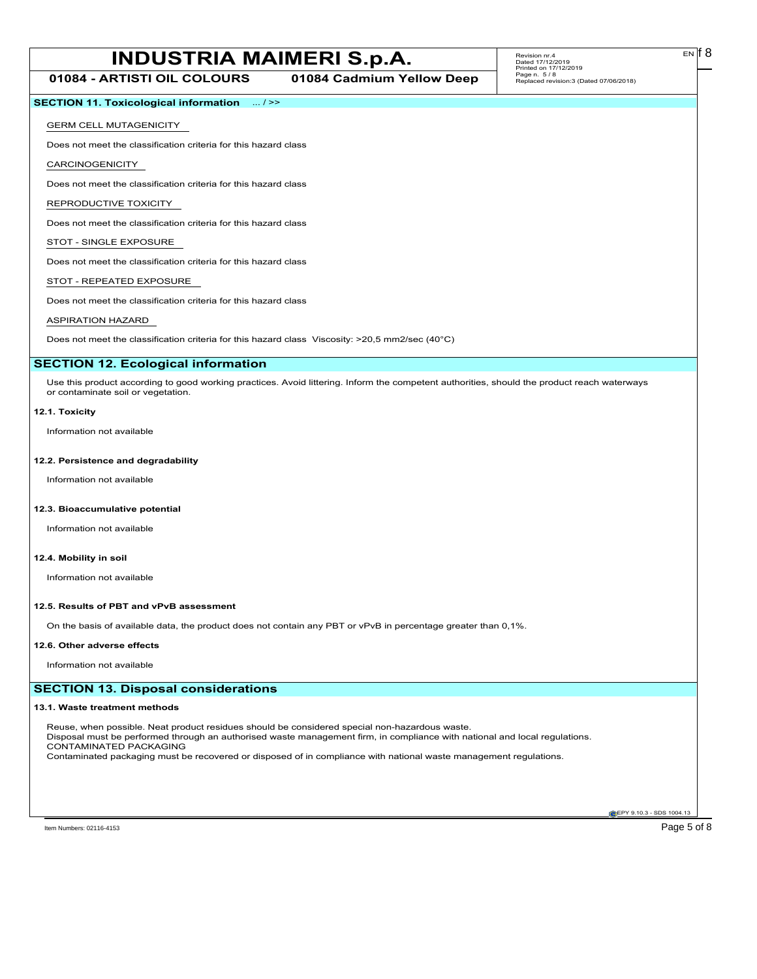# **INDUSTRIA MAIMERI S.p.A.** Revision m:4 EN 18

**01084 - ARTISTI OIL COLOURS 01084 Cadmium Yellow Deep**

## **SECTION 11. Toxicological information** ... / >>

### GERM CELL MUTAGENICITY

Does not meet the classification criteria for this hazard class

CARCINOGENICITY

Does not meet the classification criteria for this hazard class

REPRODUCTIVE TOXICITY

Does not meet the classification criteria for this hazard class

## STOT - SINGLE EXPOSURE

Does not meet the classification criteria for this hazard class

## STOT - REPEATED EXPOSURE

Does not meet the classification criteria for this hazard class

## ASPIRATION HAZARD

Does not meet the classification criteria for this hazard class Viscosity: >20,5 mm2/sec (40°C)

## **SECTION 12. Ecological information**

Use this product according to good working practices. Avoid littering. Inform the competent authorities, should the product reach waterways or contaminate soil or vegetation.

#### **12.1. Toxicity**

Information not available

#### **12.2. Persistence and degradability**

Information not available

#### **12.3. Bioaccumulative potential**

Information not available

### **12.4. Mobility in soil**

Information not available

#### **12.5. Results of PBT and vPvB assessment**

On the basis of available data, the product does not contain any PBT or vPvB in percentage greater than 0,1%.

#### **12.6. Other adverse effects**

Information not available

## **SECTION 13. Disposal considerations**

#### **13.1. Waste treatment methods**

Reuse, when possible. Neat product residues should be considered special non-hazardous waste. Disposal must be performed through an authorised waste management firm, in compliance with national and local regulations. CONTAMINATED PACKAGING Contaminated packaging must be recovered or disposed of in compliance with national waste management regulations.

**EPY 9.10.3 - SDS 1004.13** 

EN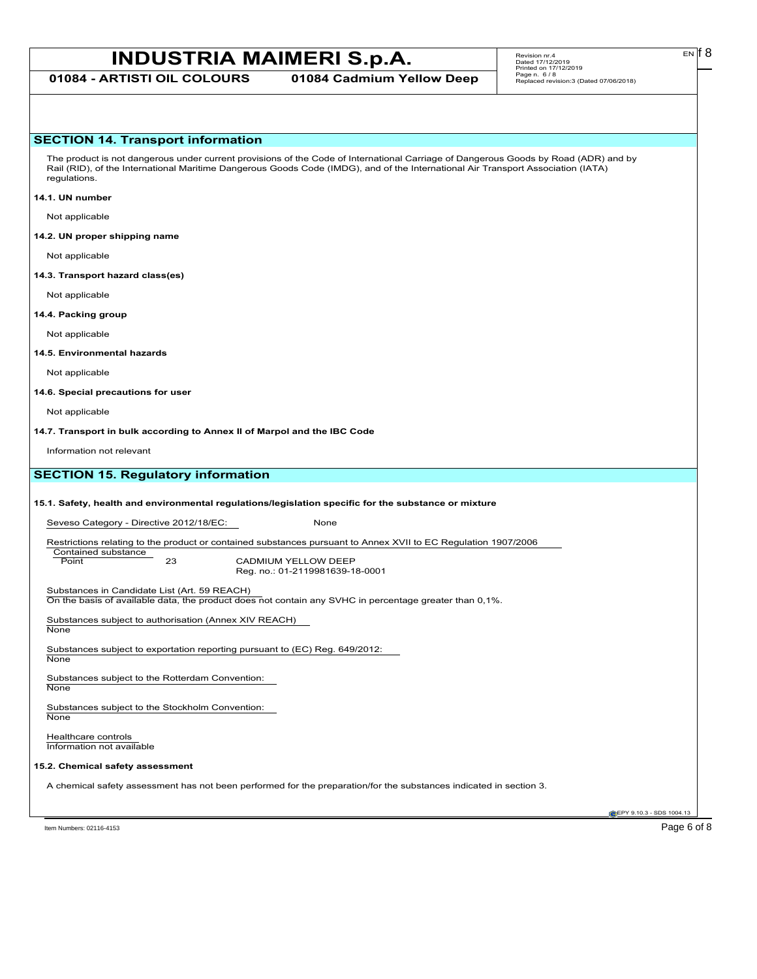# **INDUSTRIA MAIMERI S.p.A.** Revision m:4 EN **F**  $\frac{1}{2}$  Revision m:4

**01084 - ARTISTI OIL COLOURS 01084 Cadmium Yellow Deep**

Revision nr.4 Dated 17/12/2019 Printed on 17/12/2019 Page n. 6 / 8 Replaced revision:3 (Dated 07/06/2018)

#### **SECTION 14. Transport information**

The product is not dangerous under current provisions of the Code of International Carriage of Dangerous Goods by Road (ADR) and by Rail (RID), of the International Maritime Dangerous Goods Code (IMDG), and of the International Air Transport Association (IATA) regulations.

#### **14.1. UN number**

Not applicable

#### **14.2. UN proper shipping name**

Not applicable

#### **14.3. Transport hazard class(es)**

Not applicable

#### **14.4. Packing group**

Not applicable

#### **14.5. Environmental hazards**

Not applicable

#### **14.6. Special precautions for user**

Not applicable

**14.7. Transport in bulk according to Annex II of Marpol and the IBC Code**

Information not relevant

## **SECTION 15. Regulatory information**

#### **15.1. Safety, health and environmental regulations/legislation specific for the substance or mixture**

Seveso Category - Directive 2012/18/EC: None

Restrictions relating to the product or contained substances pursuant to Annex XVII to EC Regulation 1907/2006

Contained substance<br>Point

23 CADMIUM YELLOW DEEP Reg. no.: 01-2119981639-18-0001

Substances in Candidate List (Art. 59 REACH)

On the basis of available data, the product does not contain any SVHC in percentage greater than 0,1%.

Substances subject to authorisation (Annex XIV REACH)

**None** 

Substances subject to exportation reporting pursuant to (EC) Reg. 649/2012: None

Substances subject to the Rotterdam Convention:

None

Substances subject to the Stockholm Convention: **None** 

Healthcare controls Information not available

#### **15.2. Chemical safety assessment**

A chemical safety assessment has not been performed for the preparation/for the substances indicated in section 3.

EPY 9.10.3 - SDS 1004.13

Item Numbers: 02116-4153 Page 6 of 8

EN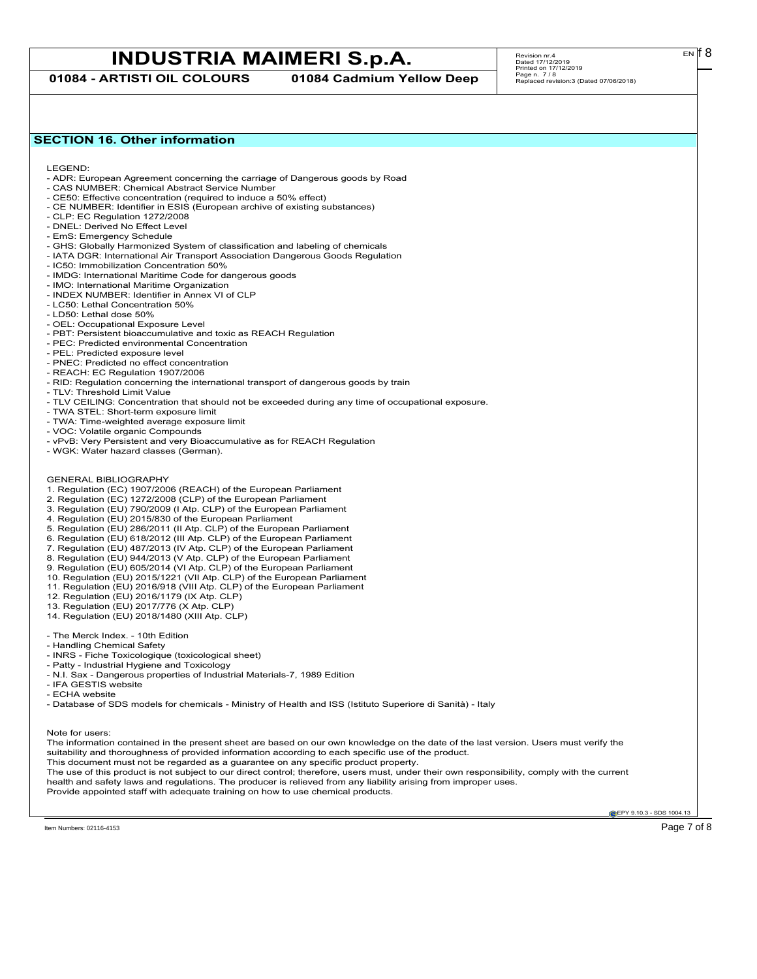# **INDUSTRIA MAIMERI S.p.A.** Revision m:4 EN **F**  $\frac{1}{2}$  Revision m:4

**01084 - ARTISTI OIL COLOURS 01084 Cadmium Yellow Deep**

 $E<sub>N</sub>$  18

### **SECTION 16. Other information**

LEGEND:

- ADR: European Agreement concerning the carriage of Dangerous goods by Road
- CAS NUMBER: Chemical Abstract Service Number - CE50: Effective concentration (required to induce a 50% effect)
- CE NUMBER: Identifier in ESIS (European archive of existing substances)
- CLP: EC Regulation 1272/2008
- DNEL: Derived No Effect Level
- EmS: Emergency Schedule
- GHS: Globally Harmonized System of classification and labeling of chemicals
- IATA DGR: International Air Transport Association Dangerous Goods Regulation
- IC50: Immobilization Concentration 50%
- IMDG: International Maritime Code for dangerous goods
- IMO: International Maritime Organization
- INDEX NUMBER: Identifier in Annex VI of CLP
- LC50: Lethal Concentration 50%
- LD50: Lethal dose 50%
- OEL: Occupational Exposure Level
- PBT: Persistent bioaccumulative and toxic as REACH Regulation
- PEC: Predicted environmental Concentration
- PEL: Predicted exposure level
- PNEC: Predicted no effect concentration
- REACH: EC Regulation 1907/2006
- RID: Regulation concerning the international transport of dangerous goods by train
- TLV: Threshold Limit Value
- TLV CEILING: Concentration that should not be exceeded during any time of occupational exposure.
- TWA STEL: Short-term exposure limit
- TWA: Time-weighted average exposure limit
- VOC: Volatile organic Compounds
- vPvB: Very Persistent and very Bioaccumulative as for REACH Regulation
- WGK: Water hazard classes (German).
- GENERAL BIBLIOGRAPHY
- 1. Regulation (EC) 1907/2006 (REACH) of the European Parliament
- 2. Regulation (EC) 1272/2008 (CLP) of the European Parliament
- 3. Regulation (EU) 790/2009 (I Atp. CLP) of the European Parliament
- 4. Regulation (EU) 2015/830 of the European Parliament
- 5. Regulation (EU) 286/2011 (II Atp. CLP) of the European Parliament
- 6. Regulation (EU) 618/2012 (III Atp. CLP) of the European Parliament
- 7. Regulation (EU) 487/2013 (IV Atp. CLP) of the European Parliament
- 8. Regulation (EU) 944/2013 (V Atp. CLP) of the European Parliament
- 9. Regulation (EU) 605/2014 (VI Atp. CLP) of the European Parliament
- 10. Regulation (EU) 2015/1221 (VII Atp. CLP) of the European Parliament
- 11. Regulation (EU) 2016/918 (VIII Atp. CLP) of the European Parliament
- 12. Regulation (EU) 2016/1179 (IX Atp. CLP)
- 13. Regulation (EU) 2017/776 (X Atp. CLP)
- 14. Regulation (EU) 2018/1480 (XIII Atp. CLP)
- The Merck Index. 10th Edition
- Handling Chemical Safety
- INRS Fiche Toxicologique (toxicological sheet)
- Patty Industrial Hygiene and Toxicology
- N.I. Sax Dangerous properties of Industrial Materials-7, 1989 Edition
- IFA GESTIS website
- ECHA website

- Database of SDS models for chemicals - Ministry of Health and ISS (Istituto Superiore di Sanità) - Italy

Note for users:

The information contained in the present sheet are based on our own knowledge on the date of the last version. Users must verify the suitability and thoroughness of provided information according to each specific use of the product. This document must not be regarded as a guarantee on any specific product property. The use of this product is not subject to our direct control; therefore, users must, under their own responsibility, comply with the current health and safety laws and regulations. The producer is relieved from any liability arising from improper uses.

Provide appointed staff with adequate training on how to use chemical products.

**EPY 9.10.3 - SDS 1004.13**